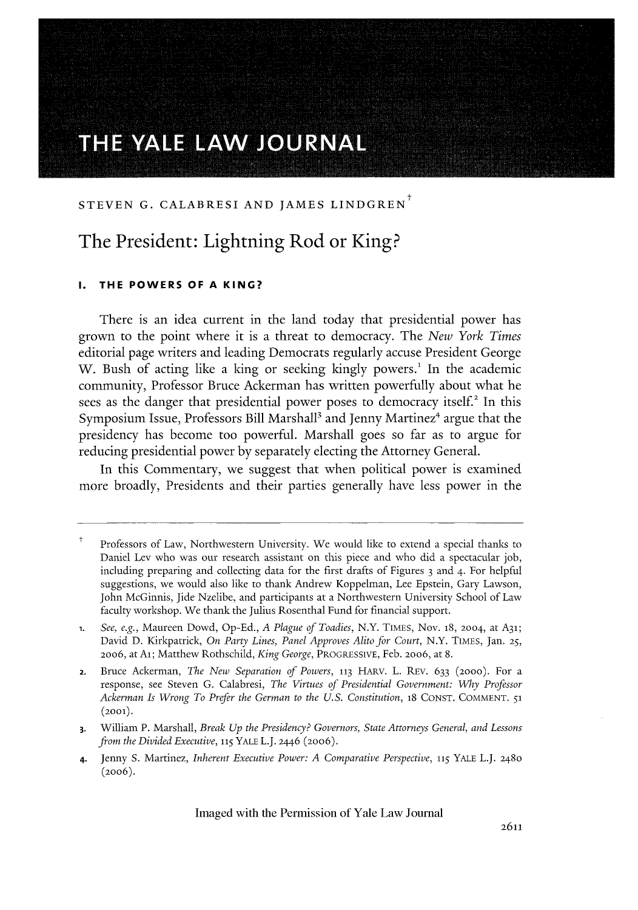# THE YALE LAW JOURNAL

# STEVEN G. CALABRESI AND JAMES LINDGREN<sup>T</sup>

# The President: Lightning Rod or King?

#### **THE POWERS OF A KING?**

There is an idea current in the land today that presidential power has grown to the point where it is a threat to democracy. The *New York Times* editorial page writers and leading Democrats regularly accuse President George W. Bush of acting like a king or seeking kingly powers.<sup>1</sup> In the academic community, Professor Bruce Ackerman has written powerfully about what he sees as the danger that presidential power poses to democracy itself.2 **In** this Symposium Issue, Professors Bill Marshal<sup>13</sup> and Jenny Martinez<sup>4</sup> argue that the presidency has become too powerful. Marshall goes so far as to argue for reducing presidential power **by** separately electing the Attorney General.

In this Commentary, we suggest that when political power is examined more broadly, Presidents and their parties generally have less power in the

Professors of Law, Northwestern University. We would like to extend a special thanks to Daniel Lev who was our research assistant on this piece and who did a spectacular job, including preparing and collecting data for the first drafts of Figures 3 and 4. For helpful suggestions, we would also like to thank Andrew Koppelman, Lee Epstein, Gary Lawson, John McGinnis, Jide Nzelibe, and participants at a Northwestern University School of Law faculty workshop. We thank the Julius Rosenthal Fund for financial support.

**<sup>1.</sup>** *See, e.g.,* Maureen Dowd, Op-Ed., *A Plague of Toadies,* N.Y. TIMES, Nov. **18,** 2004, at A31; David D. Kirkpatrick, *On Party Lines, Panel Approves Alito for Court,* N.Y. TIMES, Jan. **25,** 20o6, at Ai; Matthew Rothschild, *King George,* PROGRESSIVE, Feb. 20o6, at 8.

**<sup>2.</sup>** Bruce Ackerman, *The New Separation of Powers,* **113** HARv. L. REv. 633 **(2000).** For a response, see Steven G. Calabresi, *The Virtues of Presidential Government: Mhy Professor Ackerman Is Wrong To Prefer the German to the U.S. Constitution,* **18** CONST. COMMENT. **51 (2001).**

**<sup>3.</sup>** William P. Marshall, *Break Up the Presidency? Governors, State Attorneys General, and Lessons from the Divided Executive,* **115** YALE L.J. 2446 (20o6).

<sup>4.</sup> Jenny S. Martinez, *Inherent Executive Power: A Comparative Perspective,* **115** YALE L.J. 248o (2006).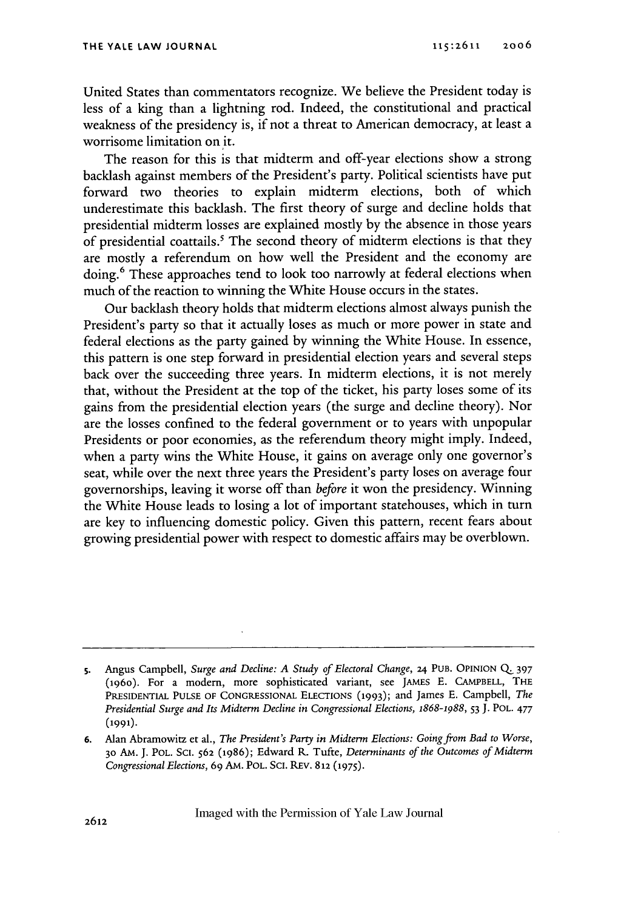United States than commentators recognize. We believe the President today is less of a king than a lightning rod. Indeed, the constitutional and practical weakness of the presidency is, if not a threat to American democracy, at least a worrisome limitation on it.

The reason for this is that midterm and off-year elections show a strong backlash against members of the President's party. Political scientists have put forward two theories to explain midterm elections, both of which underestimate this backlash. The first theory of surge and decline holds that presidential midterm losses are explained mostly by the absence in those years of presidential coattails.' The second theory of midterm elections is that they are mostly a referendum on how well the President and the economy are doing.<sup>6</sup> These approaches tend to look too narrowly at federal elections when much of the reaction to winning the White House occurs in the states.

Our backlash theory holds that midterm elections almost always punish the President's party so that it actually loses as much or more power in state and federal elections as the party gained by winning the White House. In essence, this pattern is one step forward in presidential election years and several steps back over the succeeding three years. In midterm elections, it is not merely that, without the President at the top of the ticket, his party loses some of its gains from the presidential election years (the surge and decline theory). Nor are the losses confined to the federal government or to years with unpopular Presidents or poor economies, as the referendum theory might imply. Indeed, when a party wins the White House, it gains on average only one governor's seat, while over the next three years the President's party loses on average four governorships, leaving it worse off than *before* it won the presidency. Winning the White House leads to losing a lot of important statehouses, which in turn are key to influencing domestic policy. Given this pattern, recent fears about growing presidential power with respect to domestic affairs may be overblown.

**s.** Angus Campbell, *Surge and Decline: A Study of Electoral Change,* 24 PUB. OPINION *Q* **<sup>397</sup>** (196o). For a modem, more sophisticated variant, see JAMES E. **CAMPBELL,** THE **PRESIDENTIAL PULSE** OF **CONGRESSIONAL ELECTIONS (1993);** and James E. Campbell, *The Presidential Surge and Its Midterm Decline in Congressional Elections, 1868-1988,* **53** J. POL. **477 (1991).**

**<sup>6.</sup>** Alan Abramowitz et al., *The President's Party in Midterm Elections: Going from Bad to Worse,* **30** AM. J. POL. SCi. **562 (1986);** Edward R. Tufte, *Determinants of the Outcomes of Midterm Congressional Elections,* 69 **AM.** POL. **ScI.** REv. 812 **(1975).**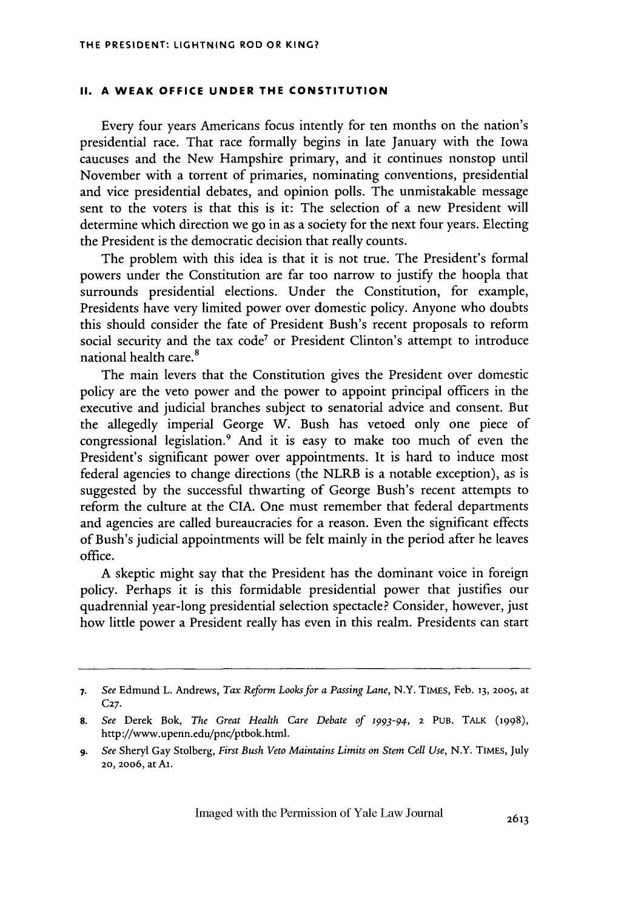#### **II. A WEAK OFFICE UNDER THE CONSTITUTION**

Every four years Americans focus intently for ten months on the nation's presidential race. That race formally begins in late January with the Iowa caucuses and the New Hampshire primary, and it continues nonstop until November with a torrent of primaries, nominating conventions, presidential and vice presidential debates, and opinion polls. The unmistakable message sent to the voters is that this is it: The selection of a new President will determine which direction we go in as a society for the next four years. Electing the President is the democratic decision that really counts.

The problem with this idea is that it is not true. The President's formal powers under the Constitution are far too narrow to justify the hoopla that surrounds presidential elections. Under the Constitution, for example, Presidents have very limited power over domestic policy. Anyone who doubts this should consider the fate of President Bush's recent proposals to reform social security and the tax code<sup>7</sup> or President Clinton's attempt to introduce national health care.

The main levers that the Constitution gives the President over domestic policy are the veto power and the power to appoint principal officers in the executive and judicial branches subject to senatorial advice and consent. But the allegedly imperial George W. Bush has vetoed only one piece of congressional legislation.9 And it is easy to make too much of even the President's significant power over appointments. It is hard to induce most federal agencies to change directions (the NLRB is a notable exception), as is suggested by the successful thwarting of George Bush's recent attempts to reform the culture at the CIA. One must remember that federal departments and agencies are called bureaucracies for a reason. Even the significant effects of Bush's judicial appointments will be felt mainly in the period after he leaves office.

A skeptic might say that the President has the dominant voice in foreign policy. Perhaps it is this formidable presidential power that justifies our quadrennial year-long presidential selection spectacle? Consider, however, just how little power a President really has even in this realm. Presidents can start

*<sup>7.</sup> See* Edmund L. Andrews, *Tax Reform Looks for a Passing Lane,* N.Y. TIMES, Feb. **13, 2005,** at **C27.**

**<sup>8.</sup>** *See* Derek Bok, *The Great Health Care Debate of* 1993-94, 2 **PUB.** TALK **(1998),** http://www.upenn.edu/pnc/ptbok.html.

*<sup>9.</sup> See* Sheryl Gay Stolberg, *First Bush Veto Maintains Limits on Stem Cell Use,* N.Y. TIMEs, July **20,** 2006, atAl.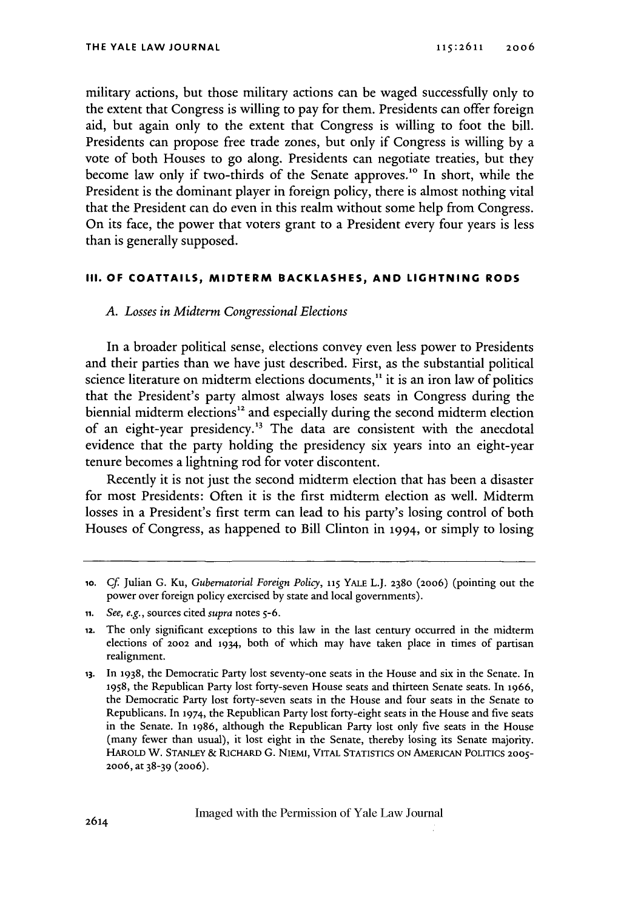military actions, but those military actions can be waged successfully only to the extent that Congress is willing to pay for them. Presidents can offer foreign aid, but again only to the extent that Congress is willing to foot the bill. Presidents can propose free trade zones, but only if Congress is willing by a vote of both Houses to go along. Presidents can negotiate treaties, but they become law only if two-thirds of the Senate approves.<sup>10</sup> In short, while the President is the dominant player in foreign policy, there is almost nothing vital that the President can do even in this realm without some help from Congress. On its face, the power that voters grant to a President every four years is less than is generally supposed.

### **III. OF COATTAILS, MIDTERM BACKLASHES, AND LIGHTNING RODS**

# *A. Losses in Midterm Congressional Elections*

In a broader political sense, elections convey even less power to Presidents and their parties than we have just described. First, as the substantial political science literature on midterm elections documents,<sup>11</sup> it is an iron law of politics that the President's party almost always loses seats in Congress during the biennial midterm elections<sup>12</sup> and especially during the second midterm election of an eight-year presidency.<sup>13</sup> The data are consistent with the anecdotal evidence that the party holding the presidency six years into an eight-year tenure becomes a lightning rod for voter discontent.

Recently it is not just the second midterm election that has been a disaster for most Presidents: Often it is the first midterm election as well. Midterm losses in a President's first term can lead to his party's losing control of both Houses of Congress, as happened to Bill Clinton in 1994, or simply to losing

**<sup>1</sup>o.** Cf Julian G. Ku, *Gubernatorial Foreign Policy,* **115** YALE L.J. **2380** (2006) (pointing out the power over foreign policy exercised by state and local governments).

**ii.** *See, e.g.,* sources cited *supra* notes **5-6.**

<sup>12.</sup> The only significant exceptions to this law in the last century occurred in the midterm elections of 2002 and 1934, both of which may have taken place in times of partisan realignment.

**<sup>13.</sup>** In **1938,** the Democratic Party lost seventy-one seats in the House and six in the Senate. In **1958,** the Republican Party lost forty-seven House seats and thirteen Senate seats. In **1966,** the Democratic Party lost forty-seven seats in the House and four seats in the Senate to Republicans. In 1974, the Republican Party lost forty-eight seats in the House and five seats in the Senate. In **1986,** although the Republican Party lost only five seats in the House (many fewer than usual), it lost eight in the Senate, thereby losing its Senate majority. HAROLD W. **STANLEY** & RICHARD G. NIEMI, VITAL STATISTICS **ON** AMERICAN **POLITICS 2005-** 2006, at 38-39 (20o6).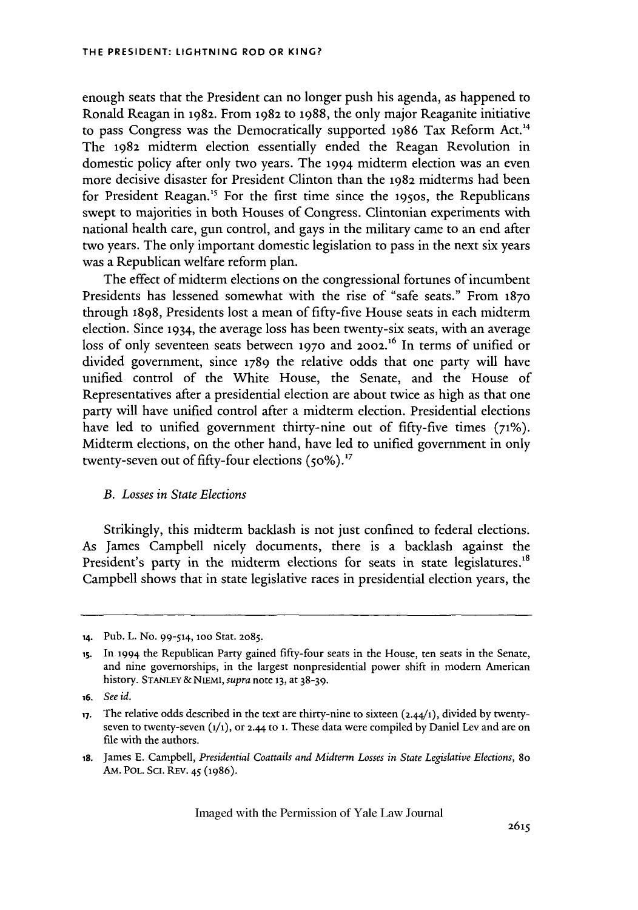enough seats that the President can no longer push his agenda, as happened to Ronald Reagan in **1982.** From 1982 to 1988, the only major Reaganite initiative to pass Congress was the Democratically supported 1986 Tax Reform Act.<sup>14</sup> The 1982 midterm election essentially ended the Reagan Revolution in domestic policy after only two years. The 1994 midterm election was an even more decisive disaster for President Clinton than the 1982 midterms had been for President Reagan.<sup>15</sup> For the first time since the 1950s, the Republicans swept to majorities in both Houses of Congress. Clintonian experiments with national health care, gun control, and gays in the military came to an end after two years. The only important domestic legislation to pass in the next six years was a Republican welfare reform plan.

The effect of midterm elections on the congressional fortunes of incumbent Presidents has lessened somewhat with the rise of "safe seats." From **1870** through 1898, Presidents lost a mean of fifty-five House seats in each midterm election. Since 1934, the average loss has been twenty-six seats, with an average loss of only seventeen seats between 1970 and 2002.<sup>16</sup> In terms of unified or divided government, since 1789 the relative odds that one party will have unified control of the White House, the Senate, and the House of Representatives after a presidential election are about twice as high as that one party will have unified control after a midterm election. Presidential elections have led to unified government thirty-nine out of fifty-five times **(71%).** Midterm elections, on the other hand, have led to unified government in only twenty-seven out of fifty-four elections (50%).<sup>17</sup>

## *B. Losses in State Elections*

Strikingly, this midterm backlash is not just confined to federal elections. As James Campbell nicely documents, there is a backlash against the President's party in the midterm elections for seats in state legislatures.<sup>18</sup> Campbell shows that in state legislative races in presidential election years, the

*i8.* James **E.** Campbell, *Presidential Coattails and Midterm Losses in State Legislative Elections, 8o* AM. POL. SCI. REV. 45 (1986).

**<sup>14.</sup>** Pub. L. No. 99-514, loo Star. 2o85.

is. In 1994 the Republican Party gained fifty-four seats in the House, ten seats in the Senate, and nine governorships, in the largest nonpresidential power shift in modern American history. **STANLEY** & NiEMI, *supra* note **13,** at 38-39.

*<sup>16.</sup> See id.*

**<sup>17.</sup>** The relative odds described in the text are thirty-nine to sixteen (2.44/1), divided by twentyseven to twenty-seven **(i/i),** or 2.44 to **1.** These data were compiled by Daniel Lev and are on file with the authors.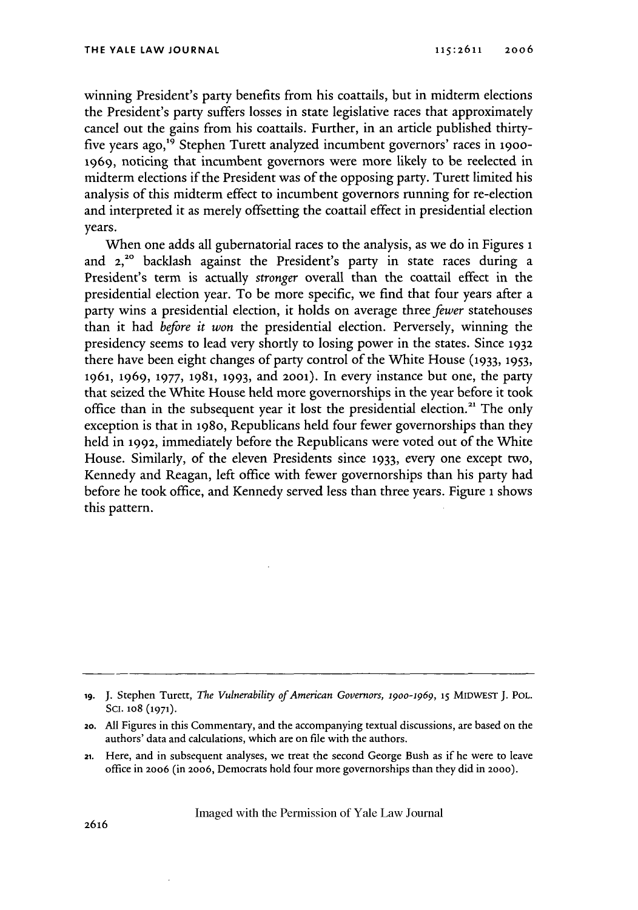winning President's party benefits from his coattails, but in midterm elections the President's party suffers losses in state legislative races that approximately cancel out the gains from his coattails. Further, in an article published thirtyfive years ago,19 Stephen Turett analyzed incumbent governors' races in **19oo-1969,** noticing that incumbent governors were more likely to be reelected in midterm elections if the President was of the opposing party. Turett limited his analysis of this midterm effect to incumbent governors running for re-election and interpreted it as merely offsetting the coattail effect in presidential election years.

When one adds all gubernatorial races to the analysis, as we do in Figures **1** and 2,<sup>20</sup> backlash against the President's party in state races during a President's term is actually *stronger* overall than the coattail effect in the presidential election year. To be more specific, we find that four years after a party wins a presidential election, it holds on average three *fewer* statehouses than it had *before it won* the presidential election. Perversely, winning the presidency seems to lead very shortly to losing power in the states. Since **1932** there have been eight changes of party control of the White House **(1933, 1953,** 1961, 1969, **1977, 1981, 1993,** and **2001).** In every instance but one, the party that seized the White House held more governorships in the year before it took office than in the subsequent year it lost the presidential election.<sup>21</sup> The only exception is that in 198o, Republicans held four fewer governorships than they held in 1992, immediately before the Republicans were voted out of the White House. Similarly, of the eleven Presidents since **1933,** every one except two, Kennedy and Reagan, left office with fewer governorships than his party had before he took office, and Kennedy served less than three years. Figure **i** shows this pattern.

**<sup>19.</sup>** J. Stephen Turett, *The Vulnerability of American Governors,* 19oo-1969, **15** MIDWEST **J.** POL. Sci. 1o8 **(1971).**

**<sup>20.</sup>** All Figures in this Commentary, and the accompanying textual discussions, are based on the authors' data and calculations, which are on file with the authors.

<sup>21.</sup> Here, and in subsequent analyses, we treat the second George Bush as if he were to leave office in 2006 (in **2006,** Democrats hold four more governorships than they did in 2000).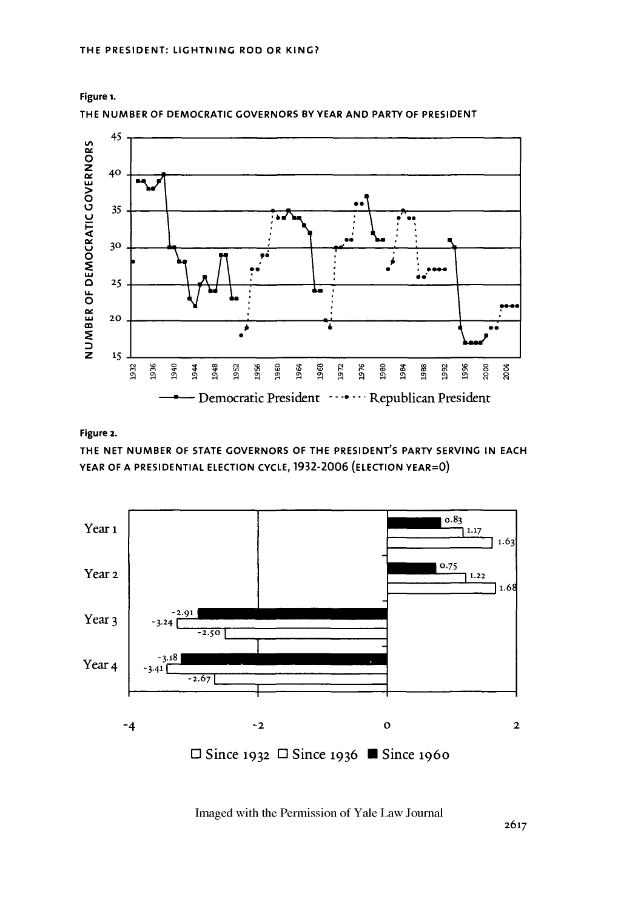

**THE NUMBER** OF DEMOCRATIC GOVERNORS BY YEAR **AND** PARTY OF PRESIDENT



### Figure 2.

THE **NET NUMBER** OF **STATE** GOVERNORS OF THE **PRESIDENT'S** PARTY **SERVING IN EACH** YEAR OF **A PRESIDENTIAL ELECTION CYCLE, 1932-2006 (ELECTION** YEAR=O)

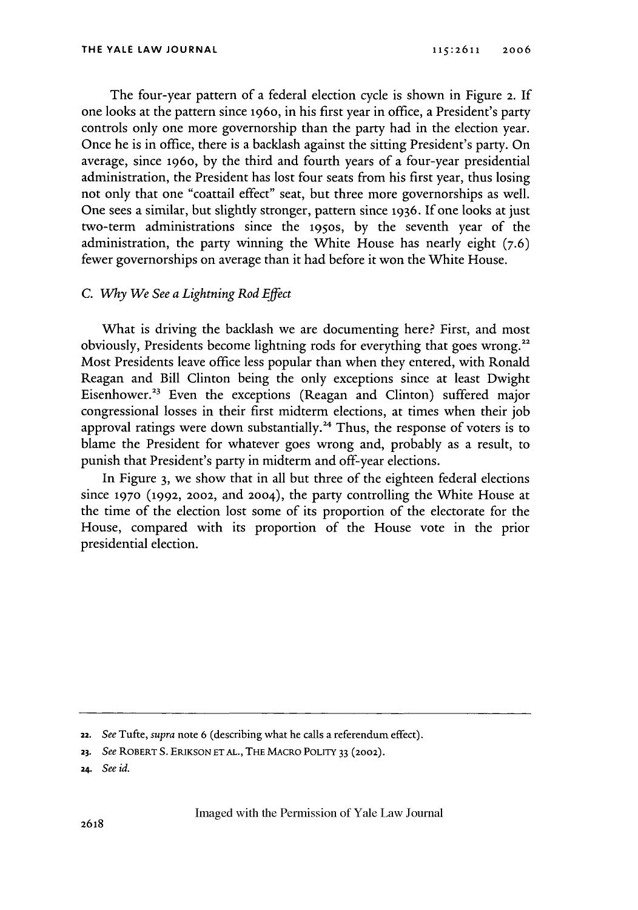The four-year pattern of a federal election cycle is shown in Figure 2. **If** one looks at the pattern since 196o, in his first year in office, a President's party controls only one more governorship than the party had in the election year. Once he is in office, there is a backlash against the sitting President's party. On average, since 196o, by the third and fourth years of a four-year presidential administration, the President has lost four seats from his first year, thus losing not only that one "coattail effect" seat, but three more governorships as well. One sees a similar, but slightly stronger, pattern since **1936.** If one looks at just two-term administrations since the 195os, by the seventh year of the administration, the party winning the White House has nearly eight (7.6) fewer governorships on average than it had before it won the White House.

#### **C.** *Why We See a Lightning Rod Effect*

What is driving the backlash we are documenting here? First, and most obviously, Presidents become lightning rods for everything that goes wrong." Most Presidents leave office less popular than when they entered, with Ronald Reagan and Bill Clinton being the only exceptions since at least Dwight Eisenhower.<sup>23</sup> Even the exceptions (Reagan and Clinton) suffered major congressional losses in their first midterm elections, at times when their job approval ratings were down substantially.<sup>24</sup> Thus, the response of voters is to blame the President for whatever goes wrong and, probably as a result, to punish that President's party in midterm and off-year elections.

In Figure 3, we show that in all but three of the eighteen federal elections since **1970** (1992, 2002, and **2004),** the party controlling the White House at the time of the election lost some of its proportion of the electorate for the House, compared with its proportion of the House vote in the prior presidential election.

**<sup>22.</sup>** *See* Tufte, *supra* note **6** (describing what he calls a referendum effect).

*<sup>23.</sup> See* ROBERT **S.** ERIKSON **ETAL.,** THE MACRO POLITY 33 (2002).

**<sup>24.</sup>** *See id.*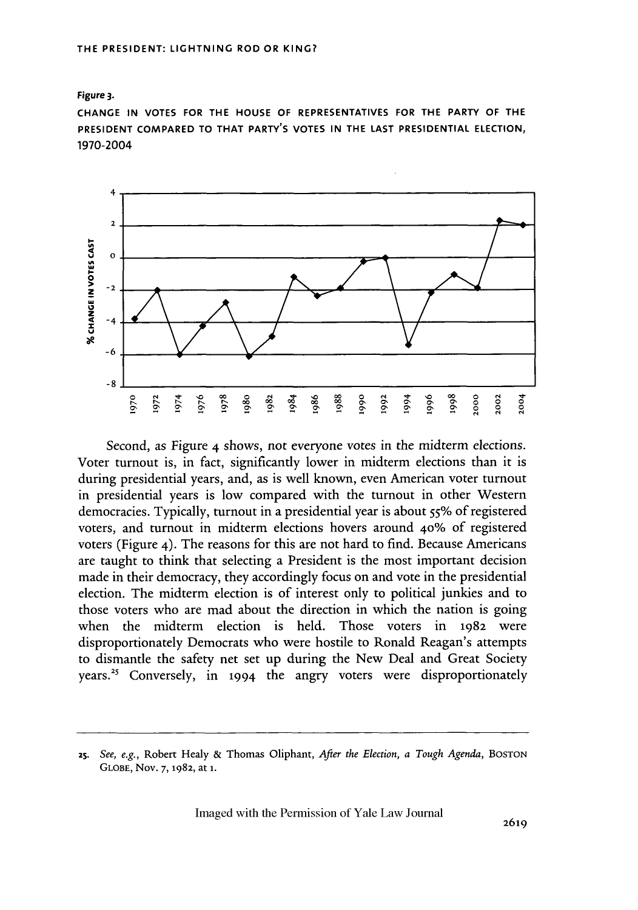**Figure 3.**

**CHANGE IN VOTES FOR THE HOUSE OF REPRESENTATIVES FOR THE PARTY OF THE PRESIDENT COMPARED TO THAT PARTY'S VOTES IN THE LAST PRESIDENTIAL ELECTION,** 1970-2004



Second, as Figure 4 shows, not everyone votes in the midterm elections. Voter turnout is, in fact, significantly lower in midterm elections than it is during presidential years, and, as is well known, even American voter turnout in presidential years is low compared with the turnout in other Western democracies. Typically, turnout in a presidential year is about 55% of registered voters, and turnout in midterm elections hovers around **40%** of registered voters (Figure 4). The reasons for this are not hard to find. Because Americans are taught to think that selecting a President is the most important decision made in their democracy, they accordingly focus on and vote in the presidential election. The midterm election is of interest only to political junkies and to those voters who are mad about the direction in which the nation is going when the midterm election is held. Those voters in 1982 were disproportionately Democrats who were hostile to Ronald Reagan's attempts to dismantle the safety net set up during the New Deal and Great Society years.<sup>25</sup> Conversely, in 1994 the angry voters were disproportionately

**<sup>2</sup>s.** *See, e.g.,* Robert Healy & Thomas Oliphant, *After the Election, a Tough Agenda,* BOSTON **GLOBE,** Nov. 7, **1982,** at **1.**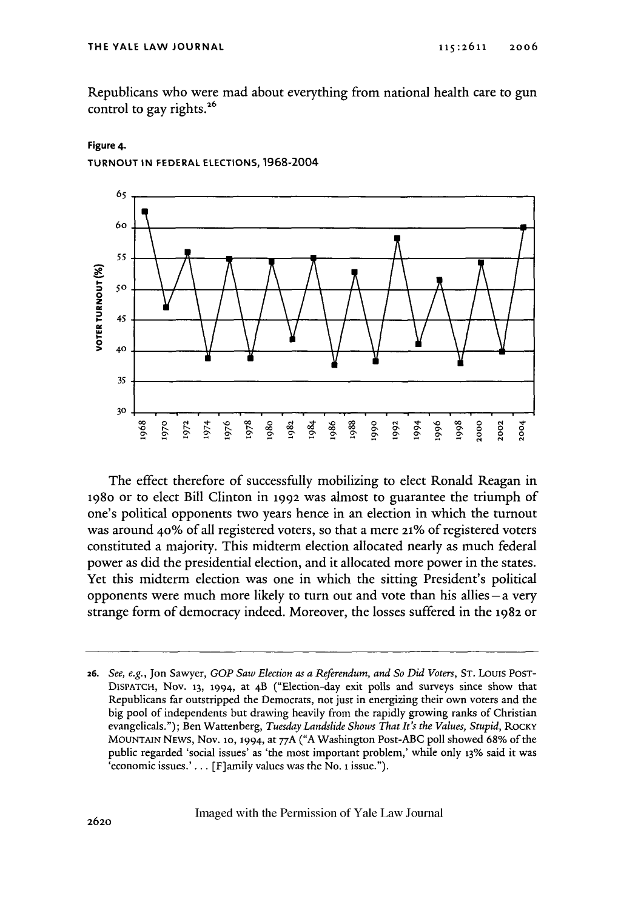Republicans who were mad about everything from national health care to gun control to gay rights. $^{26}$ 

**Figure 4.**

**TURNOUT IN FEDERAL ELECTIONS, 1968-2004**



The effect therefore of successfully mobilizing to elect Ronald Reagan in 198o or to elect Bill Clinton in 1992 was almost to guarantee the triumph of one's political opponents two years hence in an election in which the turnout was around 40% of all registered voters, so that a mere 21% of registered voters constituted a majority. This midterm election allocated nearly as much federal power as did the presidential election, and it allocated more power in the states. Yet this midterm election was one in which the sitting President's political opponents were much more likely to turn out and vote than his allies **-a** very strange form of democracy indeed. Moreover, the losses suffered in the **1982** or

**26.** *See, e.g.,* Jon Sawyer, *GOP Saw Election as a Referendum, and So Did Voters,* **ST.** Louis POST-DISPATCH, Nov. **13,** 1994, at 4B ("Election-day exit polls and surveys since show that Republicans far outstripped the Democrats, not just in energizing their own voters and the big pool of independents but drawing heavily from the rapidly growing ranks of Christian evangelicals."); Ben Wattenberg, *Tuesday Landslide Shows That It's the Values, Stupid,* RocKy **MOUNTAIN** NEWS, Nov. **1o,** 1994, at **77A ("A** Washington Post-ABC **poll** showed **68%** of the public regarded 'social issues' as 'the most important problem,' while only **13% said it was 'economic issues.'**... [F]amily values was the No. 1 issue.").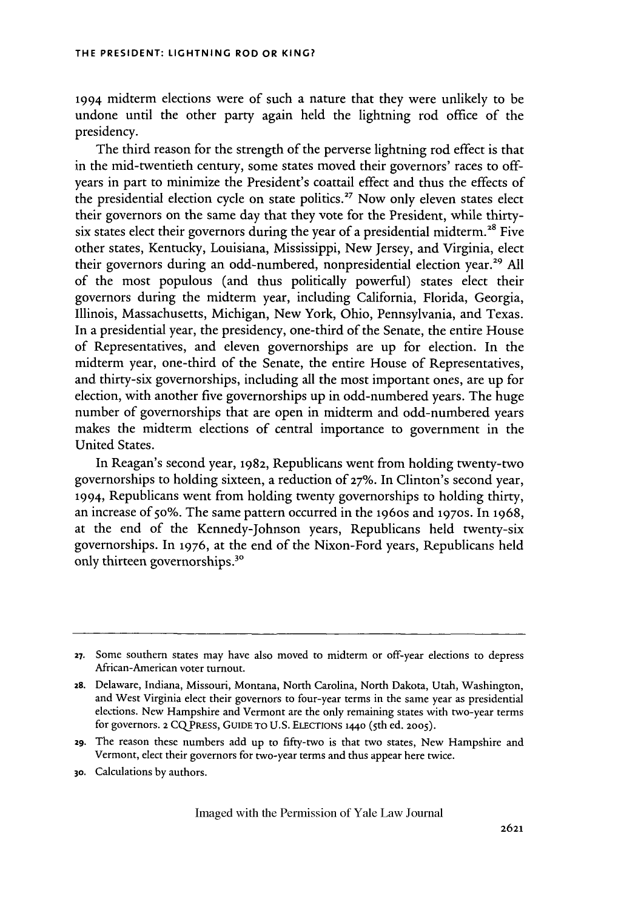1994 midterm elections were of such a nature that they were unlikely to be undone until the other party again held the lightning rod office of the presidency.

The third reason for the strength of the perverse lightning rod effect is that in the mid-twentieth century, some states moved their governors' races to offyears in part to minimize the President's coattail effect and thus the effects of the presidential election cycle on state politics.<sup>27</sup> Now only eleven states elect their governors on the same day that they vote for the President, while thirtysix states elect their governors during the year of a presidential midterm.<sup>28</sup> Five other states, Kentucky, Louisiana, Mississippi, New Jersey, and Virginia, elect their governors during an odd-numbered, nonpresidential election year.<sup>29</sup> All of the most populous (and thus politically powerful) states elect their governors during the midterm year, including California, Florida, Georgia, Illinois, Massachusetts, Michigan, New York, Ohio, Pennsylvania, and Texas. In a presidential year, the presidency, one-third of the Senate, the entire House of Representatives, and eleven governorships are up for election. In the midterm year, one-third of the Senate, the entire House of Representatives, and thirty-six governorships, including all the most important ones, are up for election, with another five governorships up in odd-numbered years. The huge number of governorships that are open in midterm and odd-numbered years makes the midterm elections of central importance to government in the United States.

In Reagan's second year, 1982, Republicans went from holding twenty-two governorships to holding sixteen, a reduction of **27%.** In Clinton's second year, 1994, Republicans went from holding twenty governorships to holding thirty, an increase of 5o%. The same pattern occurred in the 196os and **1970S.** In **1968,** at the end of the Kennedy-Johnson years, Republicans held twenty-six governorships. In 1976, at the end of the Nixon-Ford years, Republicans held only thirteen governorships.<sup>30</sup>

**<sup>27.</sup>** Some southern states may have also moved to midterm or off-year elections to depress African-American voter turnout.

**<sup>2</sup>s.** Delaware, Indiana, Missouri, Montana, North Carolina, North Dakota, Utah, Washington, and West Virginia elect their governors to four-year terms in the same year as presidential elections. New Hampshire and Vermont are the only remaining states with two-year terms for governors. **2** CQPREss, **GUIDE** TO **U.S. ELECTIONS** 144o (5 th ed. **2005).**

<sup>29.</sup> The reason these numbers add up to fifty-two is that two states, New Hampshire and Vermont, elect their governors for two-year terms and thus appear here twice.

**<sup>30.</sup>** Calculations by authors.